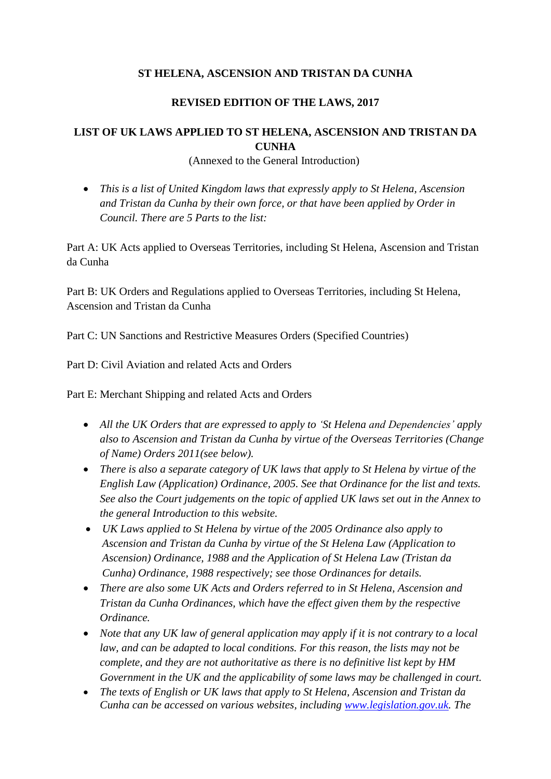### **ST HELENA, ASCENSION AND TRISTAN DA CUNHA**

### **REVISED EDITION OF THE LAWS, 2017**

# **LIST OF UK LAWS APPLIED TO ST HELENA, ASCENSION AND TRISTAN DA CUNHA**

(Annexed to the General Introduction)

 *This is a list of United Kingdom laws that expressly apply to St Helena, Ascension and Tristan da Cunha by their own force, or that have been applied by Order in Council. There are 5 Parts to the list:* 

Part A: UK Acts applied to Overseas Territories, including St Helena, Ascension and Tristan da Cunha

Part B: UK Orders and Regulations applied to Overseas Territories, including St Helena, Ascension and Tristan da Cunha

Part C: UN Sanctions and Restrictive Measures Orders (Specified Countries)

Part D: Civil Aviation and related Acts and Orders

Part E: Merchant Shipping and related Acts and Orders

- *All the UK Orders that are expressed to apply to 'St Helena and Dependencies' apply also to Ascension and Tristan da Cunha by virtue of the Overseas Territories (Change of Name) Orders 2011(see below).*
- *There is also a separate category of UK laws that apply to St Helena by virtue of the English Law (Application) Ordinance, 2005. See that Ordinance for the list and texts. See also the Court judgements on the topic of applied UK laws set out in the Annex to the general Introduction to this website.*
- *UK Laws applied to St Helena by virtue of the 2005 Ordinance also apply to Ascension and Tristan da Cunha by virtue of the St Helena Law (Application to Ascension) Ordinance, 1988 and the Application of St Helena Law (Tristan da Cunha) Ordinance, 1988 respectively; see those Ordinances for details.*
- *There are also some UK Acts and Orders referred to in St Helena, Ascension and Tristan da Cunha Ordinances, which have the effect given them by the respective Ordinance.*
- *Note that any UK law of general application may apply if it is not contrary to a local law, and can be adapted to local conditions. For this reason, the lists may not be complete, and they are not authoritative as there is no definitive list kept by HM Government in the UK and the applicability of some laws may be challenged in court.*
- *The texts of English or UK laws that apply to St Helena, Ascension and Tristan da Cunha can be accessed on various websites, including [www.legislation.gov.uk.](http://www.legislation.gov.uk/) The*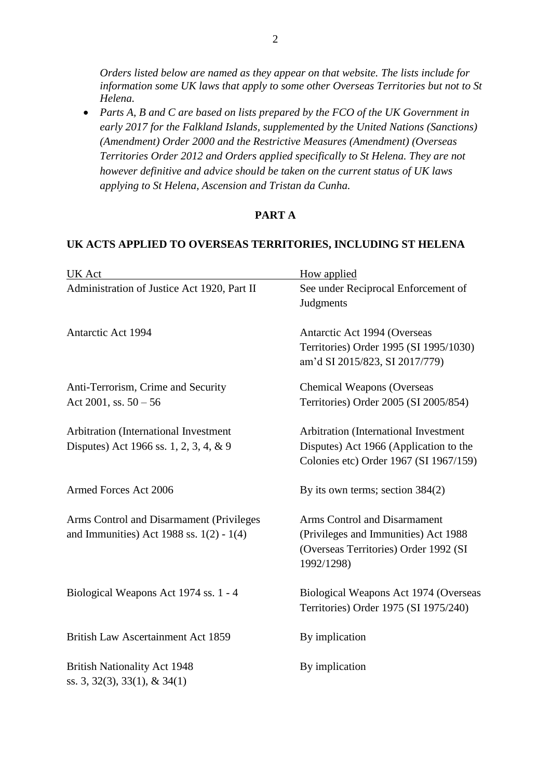*Orders listed below are named as they appear on that website. The lists include for information some UK laws that apply to some other Overseas Territories but not to St Helena.* 

 *Parts A, B and C are based on lists prepared by the FCO of the UK Government in early 2017 for the Falkland Islands, supplemented by the United Nations (Sanctions) (Amendment) Order 2000 and the Restrictive Measures (Amendment) (Overseas Territories Order 2012 and Orders applied specifically to St Helena. They are not however definitive and advice should be taken on the current status of UK laws applying to St Helena, Ascension and Tristan da Cunha.*

#### **PART A**

#### **UK ACTS APPLIED TO OVERSEAS TERRITORIES, INCLUDING ST HELENA**

| UK Act                                                                                 | How applied                                                                                                                 |
|----------------------------------------------------------------------------------------|-----------------------------------------------------------------------------------------------------------------------------|
| Administration of Justice Act 1920, Part II                                            | See under Reciprocal Enforcement of<br>Judgments                                                                            |
| Antarctic Act 1994                                                                     | Antarctic Act 1994 (Overseas<br>Territories) Order 1995 (SI 1995/1030)<br>am'd SI 2015/823, SI 2017/779)                    |
| Anti-Terrorism, Crime and Security<br>Act 2001, ss. $50 - 56$                          | <b>Chemical Weapons (Overseas</b><br>Territories) Order 2005 (SI 2005/854)                                                  |
| Arbitration (International Investment<br>Disputes) Act 1966 ss. 1, 2, 3, 4, & 9        | Arbitration (International Investment<br>Disputes) Act 1966 (Application to the<br>Colonies etc) Order 1967 (SI 1967/159)   |
| Armed Forces Act 2006                                                                  | By its own terms; section $384(2)$                                                                                          |
| Arms Control and Disarmament (Privileges<br>and Immunities) Act 1988 ss. $1(2) - 1(4)$ | Arms Control and Disarmament<br>(Privileges and Immunities) Act 1988<br>(Overseas Territories) Order 1992 (SI<br>1992/1298) |
| Biological Weapons Act 1974 ss. 1 - 4                                                  | Biological Weapons Act 1974 (Overseas<br>Territories) Order 1975 (SI 1975/240)                                              |
| <b>British Law Ascertainment Act 1859</b>                                              | By implication                                                                                                              |
| <b>British Nationality Act 1948</b><br>ss. 3, 32(3), 33(1), & 34(1)                    | By implication                                                                                                              |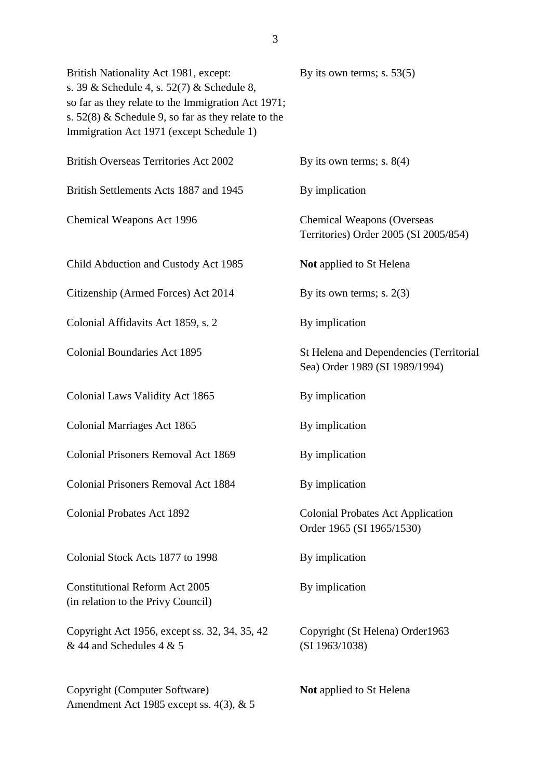| British Nationality Act 1981, except:<br>s. 39 & Schedule 4, s. $52(7)$ & Schedule 8,<br>so far as they relate to the Immigration Act 1971;<br>s. $52(8)$ & Schedule 9, so far as they relate to the<br>Immigration Act 1971 (except Schedule 1) | By its own terms; s. $53(5)$                                               |
|--------------------------------------------------------------------------------------------------------------------------------------------------------------------------------------------------------------------------------------------------|----------------------------------------------------------------------------|
| <b>British Overseas Territories Act 2002</b>                                                                                                                                                                                                     | By its own terms; s. $8(4)$                                                |
| British Settlements Acts 1887 and 1945                                                                                                                                                                                                           | By implication                                                             |
| Chemical Weapons Act 1996                                                                                                                                                                                                                        | <b>Chemical Weapons (Overseas</b><br>Territories) Order 2005 (SI 2005/854) |
| Child Abduction and Custody Act 1985                                                                                                                                                                                                             | <b>Not</b> applied to St Helena                                            |
| Citizenship (Armed Forces) Act 2014                                                                                                                                                                                                              | By its own terms; s. $2(3)$                                                |
| Colonial Affidavits Act 1859, s. 2                                                                                                                                                                                                               | By implication                                                             |
| <b>Colonial Boundaries Act 1895</b>                                                                                                                                                                                                              | St Helena and Dependencies (Territorial<br>Sea) Order 1989 (SI 1989/1994)  |
| Colonial Laws Validity Act 1865                                                                                                                                                                                                                  | By implication                                                             |
| Colonial Marriages Act 1865                                                                                                                                                                                                                      | By implication                                                             |
| Colonial Prisoners Removal Act 1869                                                                                                                                                                                                              | By implication                                                             |
| <b>Colonial Prisoners Removal Act 1884</b>                                                                                                                                                                                                       | By implication                                                             |
| <b>Colonial Probates Act 1892</b>                                                                                                                                                                                                                | <b>Colonial Probates Act Application</b><br>Order 1965 (SI 1965/1530)      |
| Colonial Stock Acts 1877 to 1998                                                                                                                                                                                                                 | By implication                                                             |
| <b>Constitutional Reform Act 2005</b><br>(in relation to the Privy Council)                                                                                                                                                                      | By implication                                                             |
| Copyright Act 1956, except ss. 32, 34, 35, 42<br>$& 44$ and Schedules 4 & 5                                                                                                                                                                      | Copyright (St Helena) Order1963<br>(SI 1963/1038)                          |
| Copyright (Computer Software)<br>Amendment Act 1985 except ss. 4(3), & 5                                                                                                                                                                         | <b>Not</b> applied to St Helena                                            |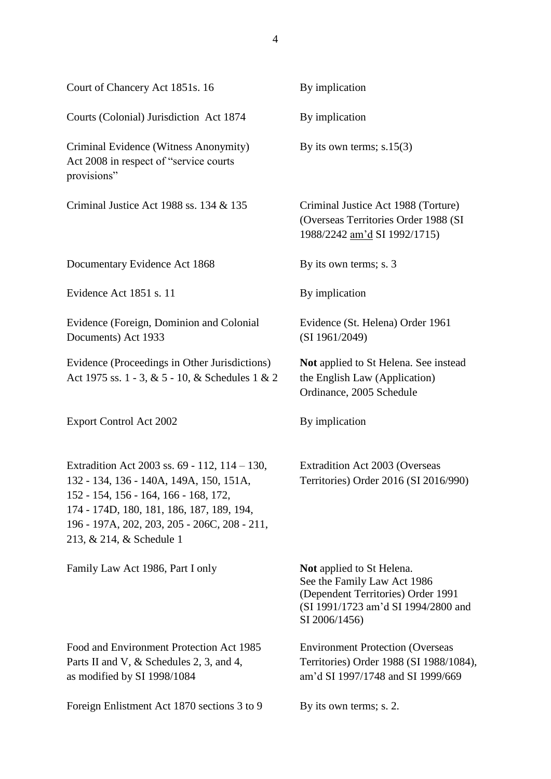| Court of Chancery Act 1851s. 16                                                                                                                                                                                                                            | By implication                                                                                                                                                |
|------------------------------------------------------------------------------------------------------------------------------------------------------------------------------------------------------------------------------------------------------------|---------------------------------------------------------------------------------------------------------------------------------------------------------------|
| Courts (Colonial) Jurisdiction Act 1874                                                                                                                                                                                                                    | By implication                                                                                                                                                |
| Criminal Evidence (Witness Anonymity)<br>Act 2008 in respect of "service courts"<br>provisions"                                                                                                                                                            | By its own terms; $s.15(3)$                                                                                                                                   |
| Criminal Justice Act 1988 ss. 134 & 135                                                                                                                                                                                                                    | Criminal Justice Act 1988 (Torture)<br>(Overseas Territories Order 1988 (SI<br>1988/2242 am'd SI 1992/1715)                                                   |
| Documentary Evidence Act 1868                                                                                                                                                                                                                              | By its own terms; s. 3                                                                                                                                        |
| Evidence Act 1851 s. 11                                                                                                                                                                                                                                    | By implication                                                                                                                                                |
| Evidence (Foreign, Dominion and Colonial<br>Documents) Act 1933                                                                                                                                                                                            | Evidence (St. Helena) Order 1961<br>(SI 1961/2049)                                                                                                            |
| Evidence (Proceedings in Other Jurisdictions)<br>Act 1975 ss. 1 - 3, & 5 - 10, & Schedules 1 & 2                                                                                                                                                           | Not applied to St Helena. See instead<br>the English Law (Application)<br>Ordinance, 2005 Schedule                                                            |
| <b>Export Control Act 2002</b>                                                                                                                                                                                                                             | By implication                                                                                                                                                |
| Extradition Act 2003 ss. 69 - 112, 114 - 130,<br>132 - 134, 136 - 140A, 149A, 150, 151A,<br>152 - 154, 156 - 164, 166 - 168, 172,<br>174 - 174D, 180, 181, 186, 187, 189, 194,<br>196 - 197A, 202, 203, 205 - 206C, 208 - 211,<br>213, & 214, & Schedule 1 | Extradition Act 2003 (Overseas<br>Territories) Order 2016 (SI 2016/990)                                                                                       |
| Family Law Act 1986, Part I only                                                                                                                                                                                                                           | <b>Not</b> applied to St Helena.<br>See the Family Law Act 1986<br>(Dependent Territories) Order 1991<br>(SI 1991/1723 am'd SI 1994/2800 and<br>SI 2006/1456) |
| Food and Environment Protection Act 1985<br>Parts II and V, & Schedules 2, 3, and 4,<br>as modified by SI 1998/1084                                                                                                                                        | <b>Environment Protection (Overseas</b><br>Territories) Order 1988 (SI 1988/1084),<br>am'd SI 1997/1748 and SI 1999/669                                       |
| Foreign Enlistment Act 1870 sections 3 to 9                                                                                                                                                                                                                | By its own terms; s. 2.                                                                                                                                       |
|                                                                                                                                                                                                                                                            |                                                                                                                                                               |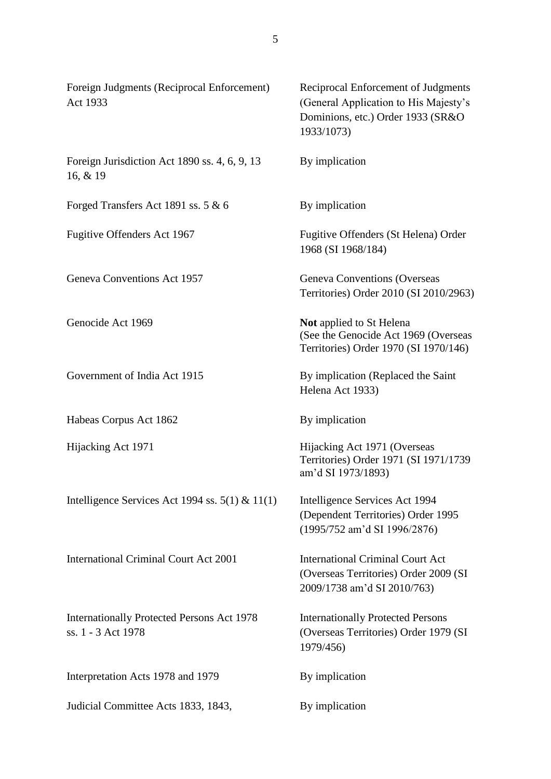| Foreign Judgments (Reciprocal Enforcement)<br>Act 1933           | Reciprocal Enforcement of Judgments<br>(General Application to His Majesty's<br>Dominions, etc.) Order 1933 (SR&O<br>1933/1073) |
|------------------------------------------------------------------|---------------------------------------------------------------------------------------------------------------------------------|
| Foreign Jurisdiction Act 1890 ss. 4, 6, 9, 13<br>16, & 19        | By implication                                                                                                                  |
| Forged Transfers Act 1891 ss. 5 & 6                              | By implication                                                                                                                  |
| Fugitive Offenders Act 1967                                      | Fugitive Offenders (St Helena) Order<br>1968 (SI 1968/184)                                                                      |
| Geneva Conventions Act 1957                                      | Geneva Conventions (Overseas<br>Territories) Order 2010 (SI 2010/2963)                                                          |
| Genocide Act 1969                                                | <b>Not</b> applied to St Helena<br>(See the Genocide Act 1969 (Overseas<br>Territories) Order 1970 (SI 1970/146)                |
| Government of India Act 1915                                     | By implication (Replaced the Saint<br>Helena Act 1933)                                                                          |
| Habeas Corpus Act 1862                                           | By implication                                                                                                                  |
| Hijacking Act 1971                                               | Hijacking Act 1971 (Overseas<br>Territories) Order 1971 (SI 1971/1739<br>am'd SI 1973/1893)                                     |
| Intelligence Services Act 1994 ss. $5(1)$ & 11(1)                | Intelligence Services Act 1994<br>(Dependent Territories) Order 1995<br>(1995/752 am'd SI 1996/2876)                            |
| <b>International Criminal Court Act 2001</b>                     | <b>International Criminal Court Act</b><br>(Overseas Territories) Order 2009 (SI<br>2009/1738 am'd SI 2010/763)                 |
| Internationally Protected Persons Act 1978<br>ss. 1 - 3 Act 1978 | <b>Internationally Protected Persons</b><br>(Overseas Territories) Order 1979 (SI<br>1979/456)                                  |
| Interpretation Acts 1978 and 1979                                | By implication                                                                                                                  |
| Judicial Committee Acts 1833, 1843,                              | By implication                                                                                                                  |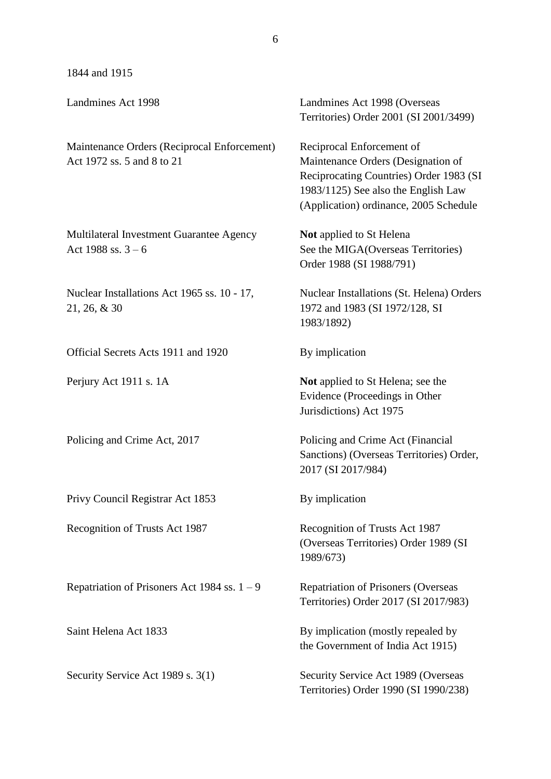1844 and 1915

| Landmines Act 1998                                                        | Landmines Act 1998 (Overseas<br>Territories) Order 2001 (SI 2001/3499)                                                                                                                      |
|---------------------------------------------------------------------------|---------------------------------------------------------------------------------------------------------------------------------------------------------------------------------------------|
| Maintenance Orders (Reciprocal Enforcement)<br>Act 1972 ss. 5 and 8 to 21 | Reciprocal Enforcement of<br>Maintenance Orders (Designation of<br>Reciprocating Countries) Order 1983 (SI<br>1983/1125) See also the English Law<br>(Application) ordinance, 2005 Schedule |
| Multilateral Investment Guarantee Agency<br>Act 1988 ss. $3 - 6$          | <b>Not</b> applied to St Helena<br>See the MIGA(Overseas Territories)<br>Order 1988 (SI 1988/791)                                                                                           |
| Nuclear Installations Act 1965 ss. 10 - 17,<br>$21, 26, \& 30$            | Nuclear Installations (St. Helena) Orders<br>1972 and 1983 (SI 1972/128, SI<br>1983/1892)                                                                                                   |
| Official Secrets Acts 1911 and 1920                                       | By implication                                                                                                                                                                              |
| Perjury Act 1911 s. 1A                                                    | Not applied to St Helena; see the<br>Evidence (Proceedings in Other<br>Jurisdictions) Act 1975                                                                                              |
| Policing and Crime Act, 2017                                              | Policing and Crime Act (Financial<br>Sanctions) (Overseas Territories) Order,<br>2017 (SI 2017/984)                                                                                         |
| Privy Council Registrar Act 1853                                          | By implication                                                                                                                                                                              |
| Recognition of Trusts Act 1987                                            | Recognition of Trusts Act 1987<br>(Overseas Territories) Order 1989 (SI<br>1989/673)                                                                                                        |
| Repatriation of Prisoners Act 1984 ss. $1 - 9$                            | <b>Repatriation of Prisoners (Overseas</b><br>Territories) Order 2017 (SI 2017/983)                                                                                                         |
| Saint Helena Act 1833                                                     | By implication (mostly repealed by<br>the Government of India Act 1915)                                                                                                                     |
| Security Service Act 1989 s. 3(1)                                         | Security Service Act 1989 (Overseas<br>Territories) Order 1990 (SI 1990/238)                                                                                                                |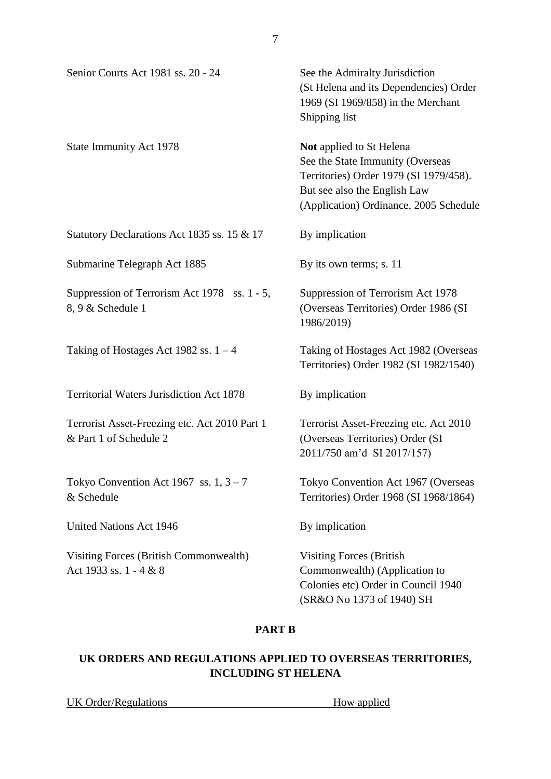| Senior Courts Act 1981 ss. 20 - 24                                      | See the Admiralty Jurisdiction<br>(St Helena and its Dependencies) Order<br>1969 (SI 1969/858) in the Merchant<br>Shipping list                                                         |
|-------------------------------------------------------------------------|-----------------------------------------------------------------------------------------------------------------------------------------------------------------------------------------|
| <b>State Immunity Act 1978</b>                                          | <b>Not</b> applied to St Helena<br>See the State Immunity (Overseas<br>Territories) Order 1979 (SI 1979/458).<br>But see also the English Law<br>(Application) Ordinance, 2005 Schedule |
| Statutory Declarations Act 1835 ss. 15 & 17                             | By implication                                                                                                                                                                          |
| Submarine Telegraph Act 1885                                            | By its own terms; s. 11                                                                                                                                                                 |
| Suppression of Terrorism Act 1978 ss. 1 - 5,<br>8, 9 & Schedule 1       | Suppression of Terrorism Act 1978<br>(Overseas Territories) Order 1986 (SI<br>1986/2019)                                                                                                |
| Taking of Hostages Act 1982 ss. $1 - 4$                                 | Taking of Hostages Act 1982 (Overseas<br>Territories) Order 1982 (SI 1982/1540)                                                                                                         |
| <b>Territorial Waters Jurisdiction Act 1878</b>                         | By implication                                                                                                                                                                          |
| Terrorist Asset-Freezing etc. Act 2010 Part 1<br>& Part 1 of Schedule 2 | Terrorist Asset-Freezing etc. Act 2010<br>(Overseas Territories) Order (SI<br>2011/750 am'd SI 2017/157)                                                                                |
| Tokyo Convention Act 1967 ss. $1, 3 - 7$<br>& Schedule                  | Tokyo Convention Act 1967 (Overseas<br>Territories) Order 1968 (SI 1968/1864)                                                                                                           |
| <b>United Nations Act 1946</b>                                          | By implication                                                                                                                                                                          |
| Visiting Forces (British Commonwealth)<br>Act 1933 ss. 1 - 4 & 8        | <b>Visiting Forces (British</b><br>Commonwealth) (Application to<br>Colonies etc) Order in Council 1940<br>(SR&O No 1373 of 1940) SH                                                    |

### **PART B**

# **UK ORDERS AND REGULATIONS APPLIED TO OVERSEAS TERRITORIES, INCLUDING ST HELENA**

UK Order/Regulations How applied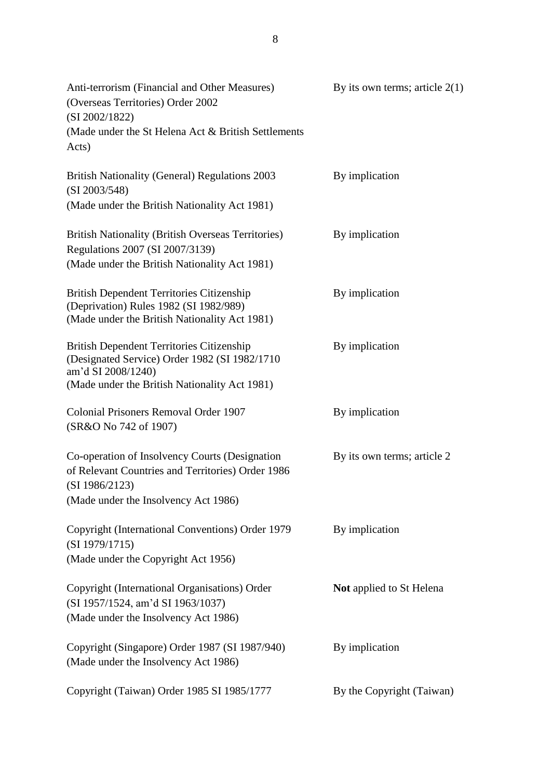| Anti-terrorism (Financial and Other Measures)<br>(Overseas Territories) Order 2002<br>(SI 2002/1822)<br>(Made under the St Helena Act & British Settlements)<br>Acts)    | By its own terms; article $2(1)$ |
|--------------------------------------------------------------------------------------------------------------------------------------------------------------------------|----------------------------------|
| <b>British Nationality (General) Regulations 2003</b><br>(SI 2003/548)<br>(Made under the British Nationality Act 1981)                                                  | By implication                   |
| <b>British Nationality (British Overseas Territories)</b><br>Regulations 2007 (SI 2007/3139)<br>(Made under the British Nationality Act 1981)                            | By implication                   |
| <b>British Dependent Territories Citizenship</b><br>(Deprivation) Rules 1982 (SI 1982/989)<br>(Made under the British Nationality Act 1981)                              | By implication                   |
| <b>British Dependent Territories Citizenship</b><br>(Designated Service) Order 1982 (SI 1982/1710<br>am'd SI 2008/1240)<br>(Made under the British Nationality Act 1981) | By implication                   |
| Colonial Prisoners Removal Order 1907<br>(SR&O No 742 of 1907)                                                                                                           | By implication                   |
| Co-operation of Insolvency Courts (Designation<br>of Relevant Countries and Territories) Order 1986<br>(SI 1986/2123)<br>(Made under the Insolvency Act 1986)            | By its own terms; article 2      |
| Copyright (International Conventions) Order 1979<br>(SI 1979/1715)<br>(Made under the Copyright Act 1956)                                                                | By implication                   |
| Copyright (International Organisations) Order<br>(SI 1957/1524, am'd SI 1963/1037)<br>(Made under the Insolvency Act 1986)                                               | <b>Not</b> applied to St Helena  |
| Copyright (Singapore) Order 1987 (SI 1987/940)<br>(Made under the Insolvency Act 1986)                                                                                   | By implication                   |
| Copyright (Taiwan) Order 1985 SI 1985/1777                                                                                                                               | By the Copyright (Taiwan)        |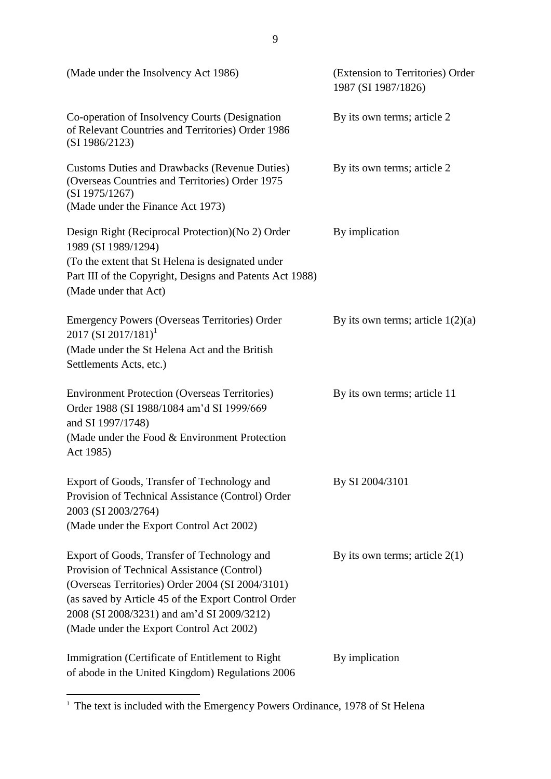| (Made under the Insolvency Act 1986)                                                                                                                                                                                                                                                            | (Extension to Territories) Order<br>1987 (SI 1987/1826) |
|-------------------------------------------------------------------------------------------------------------------------------------------------------------------------------------------------------------------------------------------------------------------------------------------------|---------------------------------------------------------|
| Co-operation of Insolvency Courts (Designation<br>of Relevant Countries and Territories) Order 1986<br>(SI 1986/2123)                                                                                                                                                                           | By its own terms; article 2                             |
| <b>Customs Duties and Drawbacks (Revenue Duties)</b><br>(Overseas Countries and Territories) Order 1975<br>(SI 1975/1267)<br>(Made under the Finance Act 1973)                                                                                                                                  | By its own terms; article 2                             |
| Design Right (Reciprocal Protection) (No 2) Order<br>1989 (SI 1989/1294)<br>(To the extent that St Helena is designated under<br>Part III of the Copyright, Designs and Patents Act 1988)<br>(Made under that Act)                                                                              | By implication                                          |
| <b>Emergency Powers (Overseas Territories) Order</b><br>2017 (SI 2017/181) <sup>1</sup><br>(Made under the St Helena Act and the British<br>Settlements Acts, etc.)                                                                                                                             | By its own terms; article $1(2)(a)$                     |
| <b>Environment Protection (Overseas Territories)</b><br>Order 1988 (SI 1988/1084 am'd SI 1999/669<br>and SI 1997/1748)<br>(Made under the Food & Environment Protection<br>Act 1985)                                                                                                            | By its own terms; article 11                            |
| Export of Goods, Transfer of Technology and<br>Provision of Technical Assistance (Control) Order<br>2003 (SI 2003/2764)<br>(Made under the Export Control Act 2002)                                                                                                                             | By SI 2004/3101                                         |
| Export of Goods, Transfer of Technology and<br>Provision of Technical Assistance (Control)<br>(Overseas Territories) Order 2004 (SI 2004/3101)<br>(as saved by Article 45 of the Export Control Order<br>2008 (SI 2008/3231) and am'd SI 2009/3212)<br>(Made under the Export Control Act 2002) | By its own terms; article $2(1)$                        |
| Immigration (Certificate of Entitlement to Right)<br>of abode in the United Kingdom) Regulations 2006                                                                                                                                                                                           | By implication                                          |

<sup>&</sup>lt;sup>1</sup> The text is included with the Emergency Powers Ordinance, 1978 of St Helena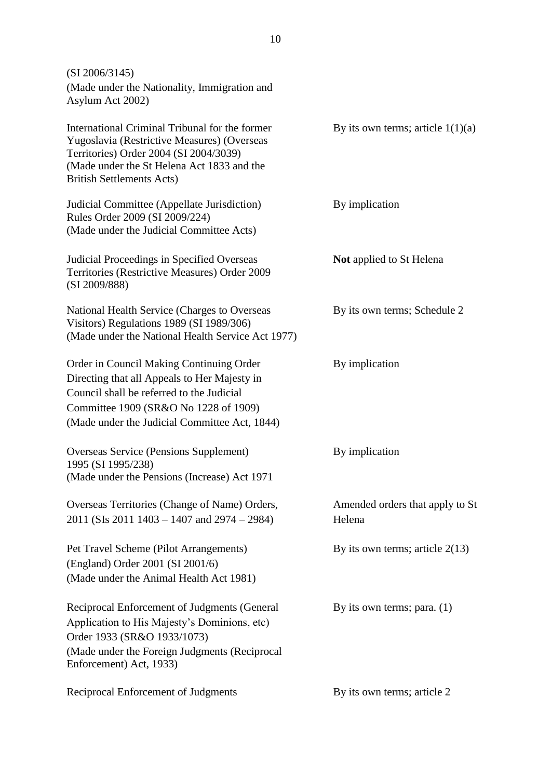(SI 2006/3145) (Made under the Nationality, Immigration and Asylum Act 2002) International Criminal Tribunal for the former By its own terms; article  $1(1)(a)$ Yugoslavia (Restrictive Measures) (Overseas Territories) Order 2004 (SI 2004/3039) (Made under the St Helena Act 1833 and the British Settlements Acts) Judicial Committee (Appellate Jurisdiction) By implication Rules Order 2009 (SI 2009/224) (Made under the Judicial Committee Acts) Judicial Proceedings in Specified Overseas **Not** applied to St Helena Territories (Restrictive Measures) Order 2009 (SI 2009/888) National Health Service (Charges to Overseas By its own terms; Schedule 2 Visitors) Regulations 1989 (SI 1989/306) (Made under the National Health Service Act 1977) Order in Council Making Continuing Order By implication Directing that all Appeals to Her Majesty in Council shall be referred to the Judicial Committee 1909 (SR&O No 1228 of 1909) (Made under the Judicial Committee Act, 1844) Overseas Service (Pensions Supplement) By implication 1995 (SI 1995/238) (Made under the Pensions (Increase) Act 1971 Overseas Territories (Change of Name) Orders, Amended orders that apply to St 2011 (SIs 2011 1403 – 1407 and 2974 – 2984) Helena Pet Travel Scheme (Pilot Arrangements) By its own terms; article 2(13) (England) Order 2001 (SI 2001/6) (Made under the Animal Health Act 1981) Reciprocal Enforcement of Judgments (General By its own terms; para. (1) Application to His Majesty's Dominions, etc) Order 1933 (SR&O 1933/1073) (Made under the Foreign Judgments (Reciprocal Enforcement) Act, 1933) Reciprocal Enforcement of Judgments By its own terms; article 2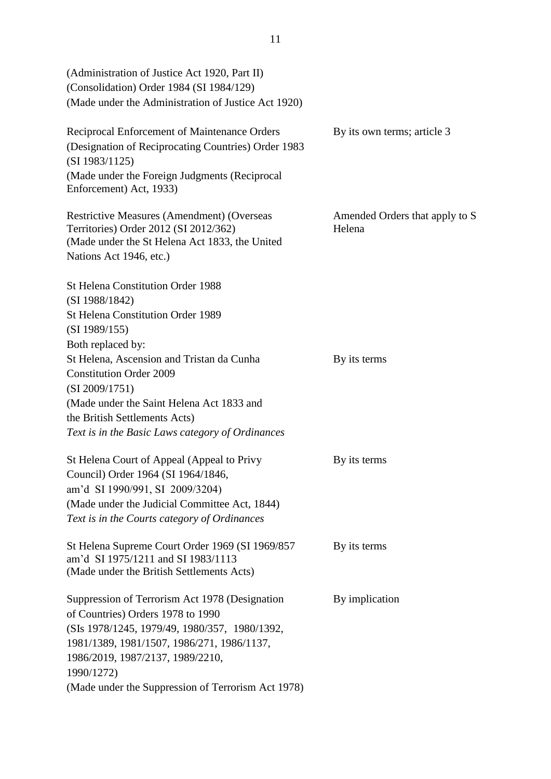| (Administration of Justice Act 1920, Part II)<br>(Consolidation) Order 1984 (SI 1984/129)<br>(Made under the Administration of Justice Act 1920)                        |                                          |
|-------------------------------------------------------------------------------------------------------------------------------------------------------------------------|------------------------------------------|
| Reciprocal Enforcement of Maintenance Orders<br>(Designation of Reciprocating Countries) Order 1983<br>(SI 1983/1125)                                                   | By its own terms; article 3              |
| (Made under the Foreign Judgments (Reciprocal<br>Enforcement) Act, 1933)                                                                                                |                                          |
| <b>Restrictive Measures (Amendment) (Overseas</b><br>Territories) Order 2012 (SI 2012/362)<br>(Made under the St Helena Act 1833, the United<br>Nations Act 1946, etc.) | Amended Orders that apply to S<br>Helena |
| <b>St Helena Constitution Order 1988</b>                                                                                                                                |                                          |
| (SI 1988/1842)                                                                                                                                                          |                                          |
| <b>St Helena Constitution Order 1989</b><br>(SI 1989/155)                                                                                                               |                                          |
| Both replaced by:                                                                                                                                                       |                                          |
| St Helena, Ascension and Tristan da Cunha<br><b>Constitution Order 2009</b>                                                                                             | By its terms                             |
| (SI 2009/1751)                                                                                                                                                          |                                          |
| (Made under the Saint Helena Act 1833 and                                                                                                                               |                                          |
| the British Settlements Acts)<br>Text is in the Basic Laws category of Ordinances                                                                                       |                                          |
|                                                                                                                                                                         |                                          |
| St Helena Court of Appeal (Appeal to Privy<br>Council) Order 1964 (SI 1964/1846,                                                                                        | By its terms                             |
| am'd SI 1990/991, SI 2009/3204)                                                                                                                                         |                                          |
| (Made under the Judicial Committee Act, 1844)<br>Text is in the Courts category of Ordinances                                                                           |                                          |
| St Helena Supreme Court Order 1969 (SI 1969/857<br>am'd SI 1975/1211 and SI 1983/1113<br>(Made under the British Settlements Acts)                                      | By its terms                             |
| Suppression of Terrorism Act 1978 (Designation<br>of Countries) Orders 1978 to 1990                                                                                     | By implication                           |
| (SIs 1978/1245, 1979/49, 1980/357, 1980/1392,                                                                                                                           |                                          |
| 1981/1389, 1981/1507, 1986/271, 1986/1137,                                                                                                                              |                                          |
| 1986/2019, 1987/2137, 1989/2210,                                                                                                                                        |                                          |
| 1990/1272)                                                                                                                                                              |                                          |
| (Made under the Suppression of Terrorism Act 1978)                                                                                                                      |                                          |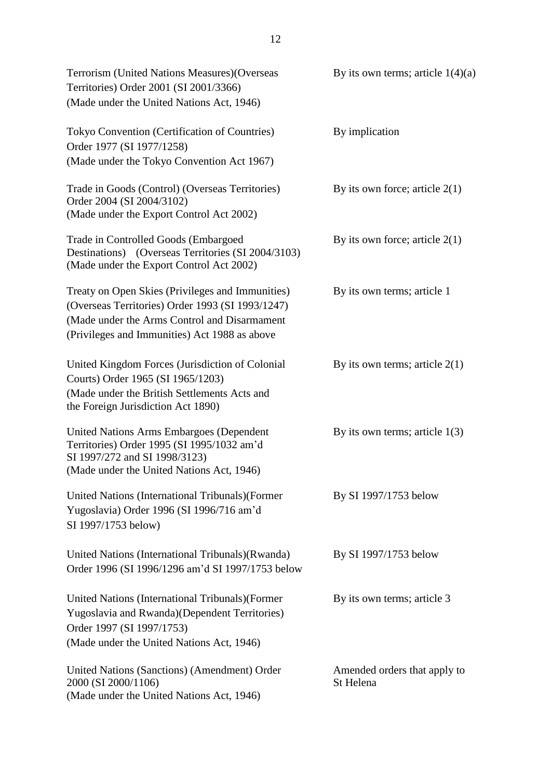| Terrorism (United Nations Measures) (Overseas<br>Territories) Order 2001 (SI 2001/3366)<br>(Made under the United Nations Act, 1946)                                                                  | By its own terms; article $1(4)(a)$       |
|-------------------------------------------------------------------------------------------------------------------------------------------------------------------------------------------------------|-------------------------------------------|
| Tokyo Convention (Certification of Countries)<br>Order 1977 (SI 1977/1258)<br>(Made under the Tokyo Convention Act 1967)                                                                              | By implication                            |
| Trade in Goods (Control) (Overseas Territories)<br>Order 2004 (SI 2004/3102)<br>(Made under the Export Control Act 2002)                                                                              | By its own force; article $2(1)$          |
| Trade in Controlled Goods (Embargoed<br>Destinations) (Overseas Territories (SI 2004/3103)<br>(Made under the Export Control Act 2002)                                                                | By its own force; article $2(1)$          |
| Treaty on Open Skies (Privileges and Immunities)<br>(Overseas Territories) Order 1993 (SI 1993/1247)<br>(Made under the Arms Control and Disarmament<br>(Privileges and Immunities) Act 1988 as above | By its own terms; article 1               |
| United Kingdom Forces (Jurisdiction of Colonial<br>Courts) Order 1965 (SI 1965/1203)<br>(Made under the British Settlements Acts and<br>the Foreign Jurisdiction Act 1890)                            | By its own terms; article $2(1)$          |
| <b>United Nations Arms Embargoes (Dependent</b><br>Territories) Order 1995 (SI 1995/1032 am'd<br>SI 1997/272 and SI 1998/3123)<br>(Made under the United Nations Act, 1946)                           | By its own terms; article $1(3)$          |
| United Nations (International Tribunals) (Former<br>Yugoslavia) Order 1996 (SI 1996/716 am'd<br>SI 1997/1753 below)                                                                                   | By SI 1997/1753 below                     |
| United Nations (International Tribunals) (Rwanda)<br>Order 1996 (SI 1996/1296 am'd SI 1997/1753 below                                                                                                 | By SI 1997/1753 below                     |
| United Nations (International Tribunals) (Former<br>Yugoslavia and Rwanda)(Dependent Territories)<br>Order 1997 (SI 1997/1753)<br>(Made under the United Nations Act, 1946)                           | By its own terms; article 3               |
| United Nations (Sanctions) (Amendment) Order<br>2000 (SI 2000/1106)<br>(Made under the United Nations Act, 1946)                                                                                      | Amended orders that apply to<br>St Helena |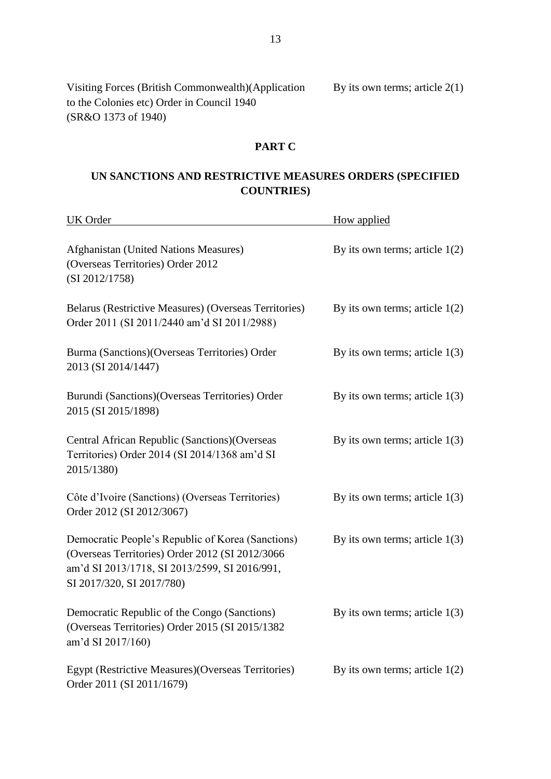Visiting Forces (British Commonwealth)(Application By its own terms; article  $2(1)$ to the Colonies etc) Order in Council 1940 (SR&O 1373 of 1940)

#### **PART C**

# **UN SANCTIONS AND RESTRICTIVE MEASURES ORDERS (SPECIFIED COUNTRIES)**

| <b>UK</b> Order                                                                                                                                                                    | How applied                      |
|------------------------------------------------------------------------------------------------------------------------------------------------------------------------------------|----------------------------------|
| Afghanistan (United Nations Measures)<br>(Overseas Territories) Order 2012<br>(SI 2012/1758)                                                                                       | By its own terms; article $1(2)$ |
| Belarus (Restrictive Measures) (Overseas Territories)<br>Order 2011 (SI 2011/2440 am'd SI 2011/2988)                                                                               | By its own terms; article $1(2)$ |
| Burma (Sanctions) (Overseas Territories) Order<br>2013 (SI 2014/1447)                                                                                                              | By its own terms; article $1(3)$ |
| Burundi (Sanctions) (Overseas Territories) Order<br>2015 (SI 2015/1898)                                                                                                            | By its own terms; article $1(3)$ |
| Central African Republic (Sanctions) (Overseas<br>Territories) Order 2014 (SI 2014/1368 am'd SI<br>2015/1380)                                                                      | By its own terms; article $1(3)$ |
| Côte d'Ivoire (Sanctions) (Overseas Territories)<br>Order 2012 (SI 2012/3067)                                                                                                      | By its own terms; article $1(3)$ |
| Democratic People's Republic of Korea (Sanctions)<br>(Overseas Territories) Order 2012 (SI 2012/3066<br>am'd SI 2013/1718, SI 2013/2599, SI 2016/991,<br>SI 2017/320, SI 2017/780) | By its own terms; article $1(3)$ |
| Democratic Republic of the Congo (Sanctions)<br>(Overseas Territories) Order 2015 (SI 2015/1382<br>am'd SI 2017/160)                                                               | By its own terms; article $1(3)$ |
| Egypt (Restrictive Measures)(Overseas Territories)<br>Order 2011 (SI 2011/1679)                                                                                                    | By its own terms; article $1(2)$ |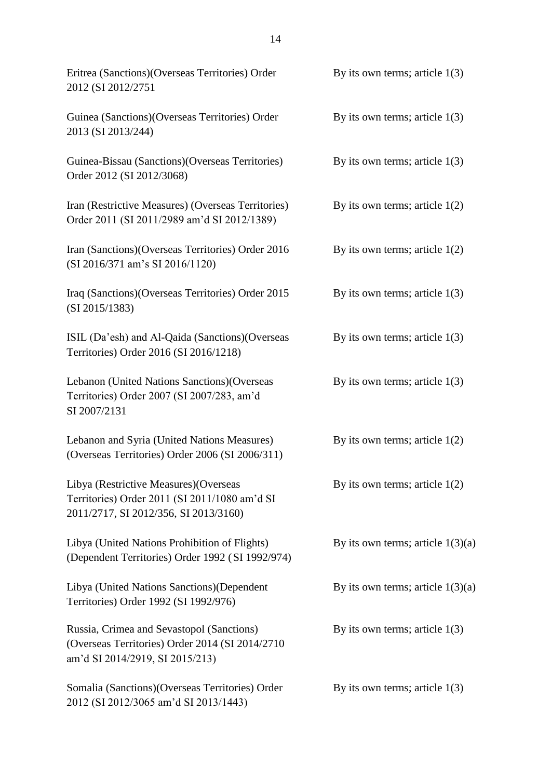| Eritrea (Sanctions) (Overseas Territories) Order<br>2012 (SI 2012/2751                                                           | By its own terms; article $1(3)$    |
|----------------------------------------------------------------------------------------------------------------------------------|-------------------------------------|
| Guinea (Sanctions)(Overseas Territories) Order<br>2013 (SI 2013/244)                                                             | By its own terms; article $1(3)$    |
| Guinea-Bissau (Sanctions) (Overseas Territories)<br>Order 2012 (SI 2012/3068)                                                    | By its own terms; article $1(3)$    |
| Iran (Restrictive Measures) (Overseas Territories)<br>Order 2011 (SI 2011/2989 am'd SI 2012/1389)                                | By its own terms; article $1(2)$    |
| Iran (Sanctions) (Overseas Territories) Order 2016<br>(SI 2016/371 am's SI 2016/1120)                                            | By its own terms; article $1(2)$    |
| Iraq (Sanctions) (Overseas Territories) Order 2015<br>(SI 2015/1383)                                                             | By its own terms; article $1(3)$    |
| ISIL (Da'esh) and Al-Qaida (Sanctions) (Overseas<br>Territories) Order 2016 (SI 2016/1218)                                       | By its own terms; article $1(3)$    |
| Lebanon (United Nations Sanctions) (Overseas<br>Territories) Order 2007 (SI 2007/283, am'd<br>SI 2007/2131                       | By its own terms; article $1(3)$    |
| Lebanon and Syria (United Nations Measures)<br>(Overseas Territories) Order 2006 (SI 2006/311)                                   | By its own terms; article $1(2)$    |
| Libya (Restrictive Measures) (Overseas<br>Territories) Order 2011 (SI 2011/1080 am'd SI<br>2011/2717, SI 2012/356, SI 2013/3160) | By its own terms; article $1(2)$    |
| Libya (United Nations Prohibition of Flights)<br>(Dependent Territories) Order 1992 (SI 1992/974)                                | By its own terms; article $1(3)(a)$ |
| Libya (United Nations Sanctions) (Dependent<br>Territories) Order 1992 (SI 1992/976)                                             | By its own terms; article $1(3)(a)$ |
| Russia, Crimea and Sevastopol (Sanctions)<br>(Overseas Territories) Order 2014 (SI 2014/2710<br>am'd SI 2014/2919, SI 2015/213)  | By its own terms; article $1(3)$    |
| Somalia (Sanctions) (Overseas Territories) Order<br>2012 (SI 2012/3065 am'd SI 2013/1443)                                        | By its own terms; article $1(3)$    |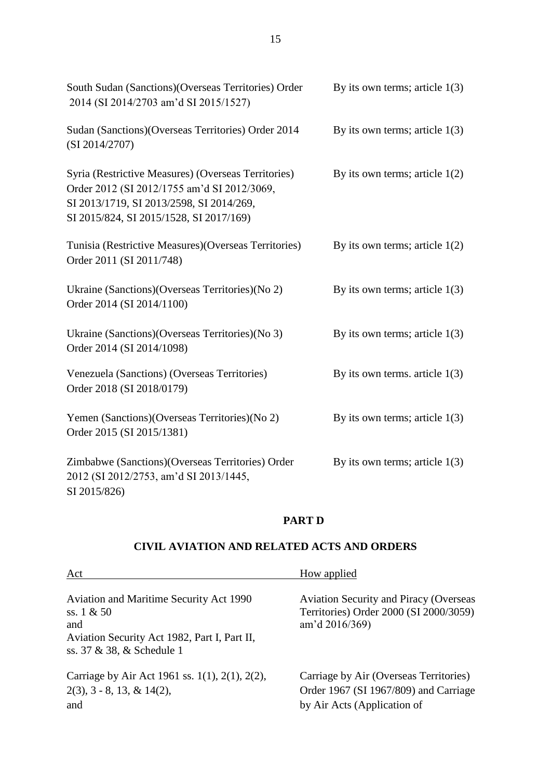| South Sudan (Sanctions) (Overseas Territories) Order<br>2014 (SI 2014/2703 am'd SI 2015/1527)                                                                                             | By its own terms; article $1(3)$ |
|-------------------------------------------------------------------------------------------------------------------------------------------------------------------------------------------|----------------------------------|
| Sudan (Sanctions) (Overseas Territories) Order 2014<br>(SI 2014/2707)                                                                                                                     | By its own terms; article $1(3)$ |
| Syria (Restrictive Measures) (Overseas Territories)<br>Order 2012 (SI 2012/1755 am'd SI 2012/3069,<br>SI 2013/1719, SI 2013/2598, SI 2014/269,<br>SI 2015/824, SI 2015/1528, SI 2017/169) | By its own terms; article $1(2)$ |
| Tunisia (Restrictive Measures) (Overseas Territories)<br>Order 2011 (SI 2011/748)                                                                                                         | By its own terms; article $1(2)$ |
| Ukraine (Sanctions) (Overseas Territories) (No 2)<br>Order 2014 (SI 2014/1100)                                                                                                            | By its own terms; article $1(3)$ |
| Ukraine (Sanctions) (Overseas Territories) (No 3)<br>Order 2014 (SI 2014/1098)                                                                                                            | By its own terms; article $1(3)$ |
| Venezuela (Sanctions) (Overseas Territories)<br>Order 2018 (SI 2018/0179)                                                                                                                 | By its own terms. article $1(3)$ |
| Yemen (Sanctions) (Overseas Territories) (No 2)<br>Order 2015 (SI 2015/1381)                                                                                                              | By its own terms; article $1(3)$ |
| Zimbabwe (Sanctions) (Overseas Territories) Order<br>2012 (SI 2012/2753, am'd SI 2013/1445,<br>SI 2015/826)                                                                               | By its own terms; article $1(3)$ |

#### **PART D**

## **CIVIL AVIATION AND RELATED ACTS AND ORDERS**

| Act                                                                                                                                                | How applied                                                                                                    |
|----------------------------------------------------------------------------------------------------------------------------------------------------|----------------------------------------------------------------------------------------------------------------|
| <b>Aviation and Maritime Security Act 1990</b><br>ss. $1 & 50$<br>and<br>Aviation Security Act 1982, Part I, Part II,<br>ss. 37 & 38, & Schedule 1 | <b>Aviation Security and Piracy (Overseas</b><br>Territories) Order 2000 (SI 2000/3059)<br>am'd $2016/369$     |
| Carriage by Air Act 1961 ss. 1(1), 2(1), 2(2),<br>$2(3)$ , 3 - 8, 13, & 14(2),<br>and                                                              | Carriage by Air (Overseas Territories)<br>Order 1967 (SI 1967/809) and Carriage<br>by Air Acts (Application of |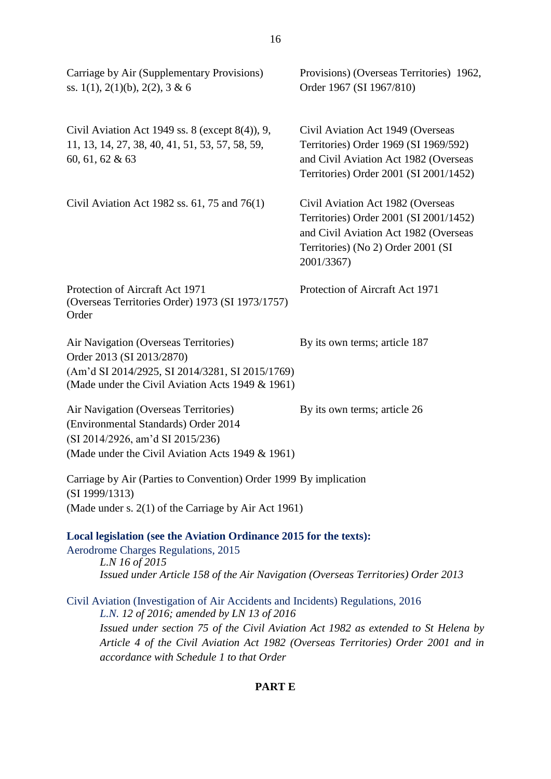| Carriage by Air (Supplementary Provisions)<br>ss. 1(1), 2(1)(b), 2(2), 3 & 6                                                                                                                                                                                                                                                                        | Provisions) (Overseas Territories) 1962,<br>Order 1967 (SI 1967/810)                                                                                                     |
|-----------------------------------------------------------------------------------------------------------------------------------------------------------------------------------------------------------------------------------------------------------------------------------------------------------------------------------------------------|--------------------------------------------------------------------------------------------------------------------------------------------------------------------------|
| Civil Aviation Act 1949 ss. 8 (except $8(4)$ ), 9,<br>11, 13, 14, 27, 38, 40, 41, 51, 53, 57, 58, 59,<br>60, 61, 62 & 63                                                                                                                                                                                                                            | Civil Aviation Act 1949 (Overseas<br>Territories) Order 1969 (SI 1969/592)<br>and Civil Aviation Act 1982 (Overseas<br>Territories) Order 2001 (SI 2001/1452)            |
| Civil Aviation Act 1982 ss. $61$ , 75 and 76(1)                                                                                                                                                                                                                                                                                                     | Civil Aviation Act 1982 (Overseas<br>Territories) Order 2001 (SI 2001/1452)<br>and Civil Aviation Act 1982 (Overseas<br>Territories) (No 2) Order 2001 (SI<br>2001/3367) |
| Protection of Aircraft Act 1971<br>(Overseas Territories Order) 1973 (SI 1973/1757)<br>Order                                                                                                                                                                                                                                                        | Protection of Aircraft Act 1971                                                                                                                                          |
| Air Navigation (Overseas Territories)<br>Order 2013 (SI 2013/2870)<br>(Am'd SI 2014/2925, SI 2014/3281, SI 2015/1769)<br>(Made under the Civil Aviation Acts 1949 & 1961)                                                                                                                                                                           | By its own terms; article 187                                                                                                                                            |
| Air Navigation (Overseas Territories)<br>(Environmental Standards) Order 2014<br>(SI 2014/2926, am'd SI 2015/236)<br>(Made under the Civil Aviation Acts 1949 & 1961)                                                                                                                                                                               | By its own terms; article 26                                                                                                                                             |
| Carriage by Air (Parties to Convention) Order 1999 By implication<br>(SI 1999/1313)<br>(Made under s. 2(1) of the Carriage by Air Act 1961)                                                                                                                                                                                                         |                                                                                                                                                                          |
| Local legislation (see the Aviation Ordinance 2015 for the texts):<br>Aerodrome Charges Regulations, 2015<br>L.N 16 of 2015<br>Issued under Article 158 of the Air Navigation (Overseas Territories) Order 2013                                                                                                                                     |                                                                                                                                                                          |
| Civil Aviation (Investigation of Air Accidents and Incidents) Regulations, 2016<br>L.N. 12 of 2016; amended by LN 13 of 2016<br>Issued under section 75 of the Civil Aviation Act 1982 as extended to St Helena by<br>Article 4 of the Civil Aviation Act 1982 (Overseas Territories) Order 2001 and in<br>accordance with Schedule 1 to that Order |                                                                                                                                                                          |

# **PART E**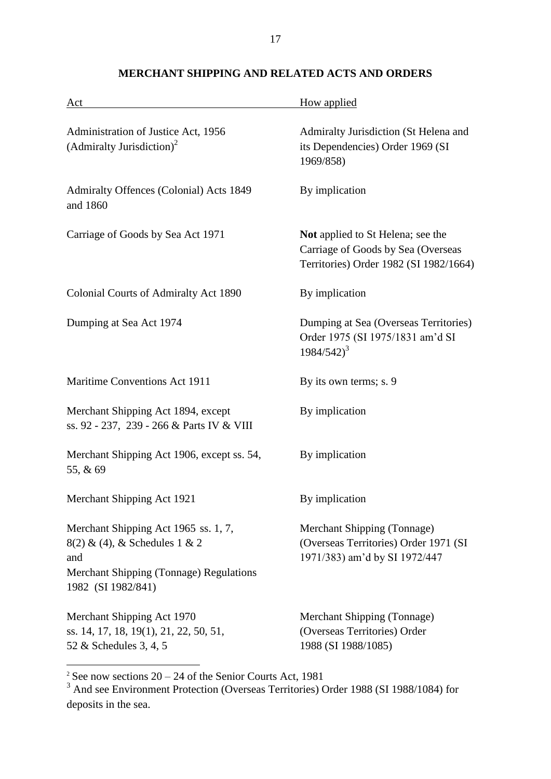| Act                                                                                                                                             | How applied                                                                                                              |
|-------------------------------------------------------------------------------------------------------------------------------------------------|--------------------------------------------------------------------------------------------------------------------------|
| Administration of Justice Act, 1956<br>(Admiralty Jurisdiction) <sup>2</sup>                                                                    | Admiralty Jurisdiction (St Helena and<br>its Dependencies) Order 1969 (SI<br>1969/858)                                   |
| Admiralty Offences (Colonial) Acts 1849<br>and 1860                                                                                             | By implication                                                                                                           |
| Carriage of Goods by Sea Act 1971                                                                                                               | <b>Not</b> applied to St Helena; see the<br>Carriage of Goods by Sea (Overseas<br>Territories) Order 1982 (SI 1982/1664) |
| Colonial Courts of Admiralty Act 1890                                                                                                           | By implication                                                                                                           |
| Dumping at Sea Act 1974                                                                                                                         | Dumping at Sea (Overseas Territories)<br>Order 1975 (SI 1975/1831 am'd SI<br>$1984/542)^3$                               |
| Maritime Conventions Act 1911                                                                                                                   | By its own terms; s. 9                                                                                                   |
| Merchant Shipping Act 1894, except<br>ss. 92 - 237, 239 - 266 & Parts IV & VIII                                                                 | By implication                                                                                                           |
| Merchant Shipping Act 1906, except ss. 54,<br>55, & 69                                                                                          | By implication                                                                                                           |
| Merchant Shipping Act 1921                                                                                                                      | By implication                                                                                                           |
| Merchant Shipping Act 1965 ss. 1, 7,<br>$8(2)$ & (4), & Schedules 1 & 2<br>and<br>Merchant Shipping (Tonnage) Regulations<br>1982 (SI 1982/841) | Merchant Shipping (Tonnage)<br>(Overseas Territories) Order 1971 (SI<br>1971/383) am'd by SI 1972/447                    |
| Merchant Shipping Act 1970<br>ss. 14, 17, 18, 19(1), 21, 22, 50, 51,<br>52 & Schedules 3, 4, 5                                                  | Merchant Shipping (Tonnage)<br>(Overseas Territories) Order<br>1988 (SI 1988/1085)                                       |

# **MERCHANT SHIPPING AND RELATED ACTS AND ORDERS**

 $2^2$  See now sections  $20 - 24$  of the Senior Courts Act, 1981

<sup>&</sup>lt;sup>3</sup> And see Environment Protection (Overseas Territories) Order 1988 (SI 1988/1084) for deposits in the sea.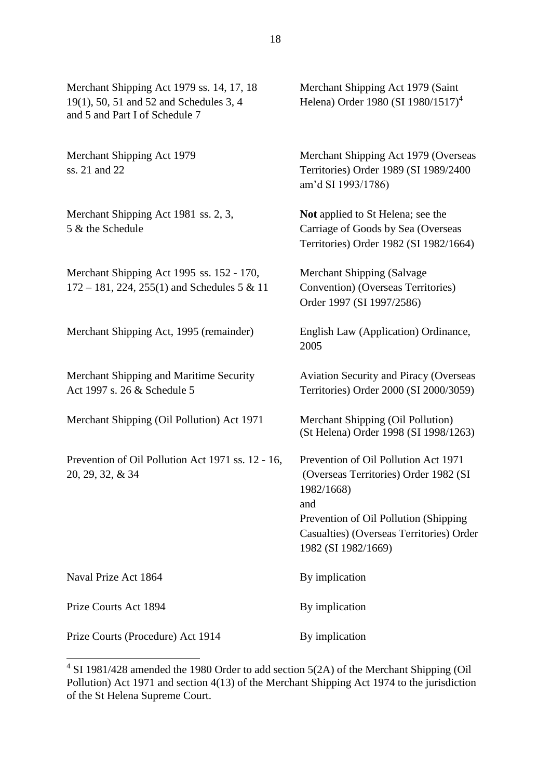Merchant Shipping Act 1979 ss. 14, 17, 18 Merchant Shipping Act 1979 (Saint 19(1), 50, 51 and 52 and Schedules 3, 4 Helena) Order 1980 (SI 1980/1517)<sup>4</sup> and 5 and Part I of Schedule 7 Merchant Shipping Act 1979 Merchant Shipping Act 1979 (Overseas ss. 21 and 22 Territories) Order 1989 (SI 1989/2400 am'd SI 1993/1786) Merchant Shipping Act 1981 ss. 2, 3, **Not** applied to St Helena; see the 5 & the Schedule Carriage of Goods by Sea (Overseas Territories) Order 1982 (SI 1982/1664) Merchant Shipping Act 1995 ss. 152 - 170, Merchant Shipping (Salvage  $172 - 181$ ,  $224$ ,  $255(1)$  and Schedules 5 & 11 Convention) (Overseas Territories) Order 1997 (SI 1997/2586) Merchant Shipping Act, 1995 (remainder) English Law (Application) Ordinance, 2005 Merchant Shipping and Maritime Security Aviation Security and Piracy (Overseas Act 1997 s. 26 & Schedule 5 Territories) Order 2000 (SI 2000/3059) Merchant Shipping (Oil Pollution) Act 1971 Merchant Shipping (Oil Pollution) (St Helena) Order 1998 (SI 1998/1263) Prevention of Oil Pollution Act 1971 ss. 12 - 16, Prevention of Oil Pollution Act 1971 20, 29, 32, & 34 (Overseas Territories) Order 1982 (SI 1982/1668) and Prevention of Oil Pollution (Shipping Casualties) (Overseas Territories) Order 1982 (SI 1982/1669) Naval Prize Act 1864 By implication Prize Courts Act 1894 By implication Prize Courts (Procedure) Act 1914 By implication

<u>.</u>

 $4$  SI 1981/428 amended the 1980 Order to add section 5(2A) of the Merchant Shipping (Oil Pollution) Act 1971 and section 4(13) of the Merchant Shipping Act 1974 to the jurisdiction of the St Helena Supreme Court.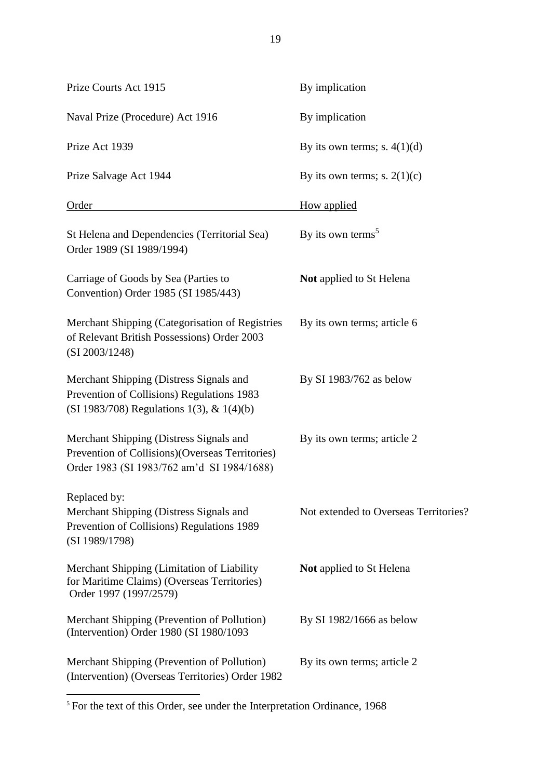Prize Courts Act 1915 By implication Naval Prize (Procedure) Act 1916 By implication Prize Act 1939 By its own terms; s.  $4(1)(d)$ Prize Salvage Act 1944 By its own terms; s.  $2(1)(c)$ Order How applied St Helena and Dependencies (Territorial Sea) By its own terms<sup>5</sup> Order 1989 (SI 1989/1994) Carriage of Goods by Sea (Parties to **Not** applied to St Helena Convention) Order 1985 (SI 1985/443) Merchant Shipping (Categorisation of Registries By its own terms; article 6 of Relevant British Possessions) Order 2003 (SI 2003/1248) Merchant Shipping (Distress Signals and By SI 1983/762 as below Prevention of Collisions) Regulations 1983 (SI 1983/708) Regulations 1(3), & 1(4)(b) Merchant Shipping (Distress Signals and By its own terms; article 2 Prevention of Collisions)(Overseas Territories) Order 1983 (SI 1983/762 am'd SI 1984/1688) Replaced by: Merchant Shipping (Distress Signals and Not extended to Overseas Territories? Prevention of Collisions) Regulations 1989 (SI 1989/1798) Merchant Shipping (Limitation of Liability **Not** applied to St Helena for Maritime Claims) (Overseas Territories) Order 1997 (1997/2579) Merchant Shipping (Prevention of Pollution) By SI 1982/1666 as below (Intervention) Order 1980 (SI 1980/1093 Merchant Shipping (Prevention of Pollution) By its own terms; article 2

1 <sup>5</sup> For the text of this Order, see under the Interpretation Ordinance, 1968

(Intervention) (Overseas Territories) Order 1982